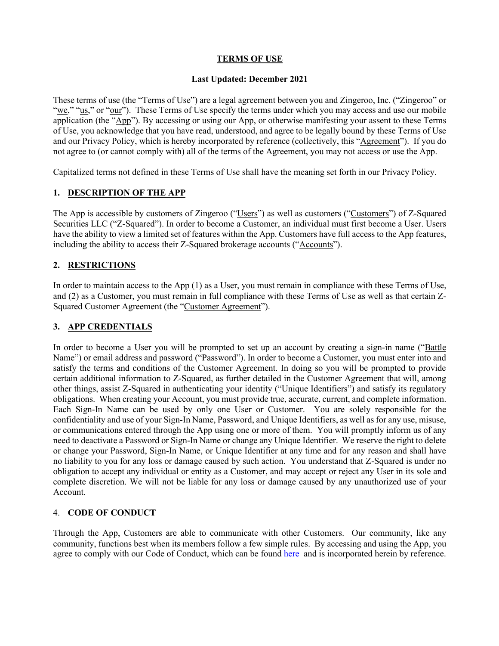### **TERMS OF USE**

#### **Last Updated: December 2021**

These terms of use (the "Terms of Use") are a legal agreement between you and Zingeroo, Inc. ("Zingeroo" or "we," "us," or "our"). These Terms of Use specify the terms under which you may access and use our mobile application (the "App"). By accessing or using our App, or otherwise manifesting your assent to these Terms of Use, you acknowledge that you have read, understood, and agree to be legally bound by these Terms of Use and our Privacy Policy, which is hereby incorporated by reference (collectively, this "Agreement"). If you do not agree to (or cannot comply with) all of the terms of the Agreement, you may not access or use the App.

Capitalized terms not defined in these Terms of Use shall have the meaning set forth in our Privacy Policy.

### **1. DESCRIPTION OF THE APP**

The App is accessible by customers of Zingeroo ("Users") as well as customers ("Customers") of Z-Squared Securities LLC ("Z-Squared"). In order to become a Customer, an individual must first become a User. Users have the ability to view a limited set of features within the App. Customers have full access to the App features, including the ability to access their Z-Squared brokerage accounts ("Accounts").

## **2. RESTRICTIONS**

In order to maintain access to the App (1) as a User, you must remain in compliance with these Terms of Use, and (2) as a Customer, you must remain in full compliance with these Terms of Use as well as that certain Z-Squared Customer Agreement (the "Customer Agreement").

## **3. APP CREDENTIALS**

In order to become a User you will be prompted to set up an account by creating a sign-in name ("Battle") Name") or email address and password ("Password"). In order to become a Customer, you must enter into and satisfy the terms and conditions of the Customer Agreement. In doing so you will be prompted to provide certain additional information to Z-Squared, as further detailed in the Customer Agreement that will, among other things, assist Z-Squared in authenticating your identity ("Unique Identifiers") and satisfy its regulatory obligations. When creating your Account, you must provide true, accurate, current, and complete information. Each Sign-In Name can be used by only one User or Customer. You are solely responsible for the confidentiality and use of your Sign-In Name, Password, and Unique Identifiers, as well as for any use, misuse, or communications entered through the App using one or more of them. You will promptly inform us of any need to deactivate a Password or Sign-In Name or change any Unique Identifier. We reserve the right to delete or change your Password, Sign-In Name, or Unique Identifier at any time and for any reason and shall have no liability to you for any loss or damage caused by such action. You understand that Z-Squared is under no obligation to accept any individual or entity as a Customer, and may accept or reject any User in its sole and complete discretion. We will not be liable for any loss or damage caused by any unauthorized use of your Account.

#### 4. **CODE OF CONDUCT**

Through the App, Customers are able to communicate with other Customers. Our community, like any community, functions best when its members follow a few simple rules. By accessing and using the App, you agree to comply with our Code of Conduct, which can be found here and is incorporated herein by reference.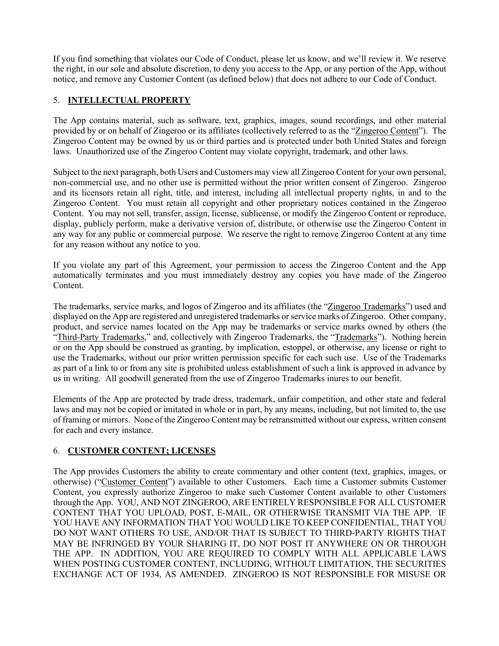If you find something that violates our Code of Conduct, please let us know, and we'll review it. We reserve the right, in our sole and absolute discretion, to deny you access to the App, or any portion of the App, without notice, and remove any Customer Content (as defined below) that does not adhere to our Code of Conduct.

# 5. **INTELLECTUAL PROPERTY**

The App contains material, such as software, text, graphics, images, sound recordings, and other material provided by or on behalf of Zingeroo or its affiliates (collectively referred to as the "Zingeroo Content"). The Zingeroo Content may be owned by us or third parties and is protected under both United States and foreign laws. Unauthorized use of the Zingeroo Content may violate copyright, trademark, and other laws.

Subject to the next paragraph, both Users and Customers may view all Zingeroo Content for your own personal, non-commercial use, and no other use is permitted without the prior written consent of Zingeroo. Zingeroo and its licensors retain all right, title, and interest, including all intellectual property rights, in and to the Zingeroo Content. You must retain all copyright and other proprietary notices contained in the Zingeroo Content. You may not sell, transfer, assign, license, sublicense, or modify the Zingeroo Content or reproduce, display, publicly perform, make a derivative version of, distribute, or otherwise use the Zingeroo Content in any way for any public or commercial purpose. We reserve the right to remove Zingeroo Content at any time for any reason without any notice to you.

If you violate any part of this Agreement, your permission to access the Zingeroo Content and the App automatically terminates and you must immediately destroy any copies you have made of the Zingeroo Content.

The trademarks, service marks, and logos of Zingeroo and its affiliates (the "Zingeroo Trademarks") used and displayed on the App are registered and unregistered trademarks or service marks of Zingeroo. Other company, product, and service names located on the App may be trademarks or service marks owned by others (the "Third-Party Trademarks," and, collectively with Zingeroo Trademarks, the "Trademarks"). Nothing herein or on the App should be construed as granting, by implication, estoppel, or otherwise, any license or right to use the Trademarks, without our prior written permission specific for each such use. Use of the Trademarks as part of a link to or from any site is prohibited unless establishment of such a link is approved in advance by us in writing. All goodwill generated from the use of Zingeroo Trademarks inures to our benefit.

Elements of the App are protected by trade dress, trademark, unfair competition, and other state and federal laws and may not be copied or imitated in whole or in part, by any means, including, but not limited to, the use of framing or mirrors. None of the Zingeroo Content may be retransmitted without our express, written consent for each and every instance.

# 6. **CUSTOMER CONTENT; LICENSES**

The App provides Customers the ability to create commentary and other content (text, graphics, images, or otherwise) ("Customer Content") available to other Customers. Each time a Customer submits Customer Content, you expressly authorize Zingeroo to make such Customer Content available to other Customers through the App. YOU, AND NOT ZINGEROO, ARE ENTIRELY RESPONSIBLE FOR ALL CUSTOMER CONTENT THAT YOU UPLOAD, POST, E-MAIL, OR OTHERWISE TRANSMIT VIA THE APP. IF YOU HAVE ANY INFORMATION THAT YOU WOULD LIKE TO KEEP CONFIDENTIAL, THAT YOU DO NOT WANT OTHERS TO USE, AND/OR THAT IS SUBJECT TO THIRD-PARTY RIGHTS THAT MAY BE INFRINGED BY YOUR SHARING IT, DO NOT POST IT ANYWHERE ON OR THROUGH THE APP. IN ADDITION, YOU ARE REQUIRED TO COMPLY WITH ALL APPLICABLE LAWS WHEN POSTING CUSTOMER CONTENT, INCLUDING, WITHOUT LIMITATION, THE SECURITIES EXCHANGE ACT OF 1934, AS AMENDED. ZINGEROO IS NOT RESPONSIBLE FOR MISUSE OR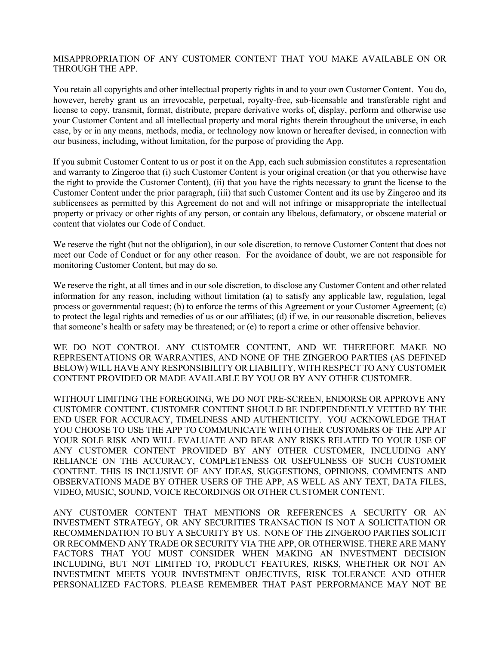#### MISAPPROPRIATION OF ANY CUSTOMER CONTENT THAT YOU MAKE AVAILABLE ON OR THROUGH THE APP.

You retain all copyrights and other intellectual property rights in and to your own Customer Content. You do, however, hereby grant us an irrevocable, perpetual, royalty-free, sub-licensable and transferable right and license to copy, transmit, format, distribute, prepare derivative works of, display, perform and otherwise use your Customer Content and all intellectual property and moral rights therein throughout the universe, in each case, by or in any means, methods, media, or technology now known or hereafter devised, in connection with our business, including, without limitation, for the purpose of providing the App.

If you submit Customer Content to us or post it on the App, each such submission constitutes a representation and warranty to Zingeroo that (i) such Customer Content is your original creation (or that you otherwise have the right to provide the Customer Content), (ii) that you have the rights necessary to grant the license to the Customer Content under the prior paragraph, (iii) that such Customer Content and its use by Zingeroo and its sublicensees as permitted by this Agreement do not and will not infringe or misappropriate the intellectual property or privacy or other rights of any person, or contain any libelous, defamatory, or obscene material or content that violates our Code of Conduct.

We reserve the right (but not the obligation), in our sole discretion, to remove Customer Content that does not meet our Code of Conduct or for any other reason. For the avoidance of doubt, we are not responsible for monitoring Customer Content, but may do so.

We reserve the right, at all times and in our sole discretion, to disclose any Customer Content and other related information for any reason, including without limitation (a) to satisfy any applicable law, regulation, legal process or governmental request; (b) to enforce the terms of this Agreement or your Customer Agreement; (c) to protect the legal rights and remedies of us or our affiliates; (d) if we, in our reasonable discretion, believes that someone's health or safety may be threatened; or (e) to report a crime or other offensive behavior.

WE DO NOT CONTROL ANY CUSTOMER CONTENT, AND WE THEREFORE MAKE NO REPRESENTATIONS OR WARRANTIES, AND NONE OF THE ZINGEROO PARTIES (AS DEFINED BELOW) WILL HAVE ANY RESPONSIBILITY OR LIABILITY, WITH RESPECT TO ANY CUSTOMER CONTENT PROVIDED OR MADE AVAILABLE BY YOU OR BY ANY OTHER CUSTOMER.

WITHOUT LIMITING THE FOREGOING, WE DO NOT PRE-SCREEN, ENDORSE OR APPROVE ANY CUSTOMER CONTENT. CUSTOMER CONTENT SHOULD BE INDEPENDENTLY VETTED BY THE END USER FOR ACCURACY, TIMELINESS AND AUTHENTICITY. YOU ACKNOWLEDGE THAT YOU CHOOSE TO USE THE APP TO COMMUNICATE WITH OTHER CUSTOMERS OF THE APP AT YOUR SOLE RISK AND WILL EVALUATE AND BEAR ANY RISKS RELATED TO YOUR USE OF ANY CUSTOMER CONTENT PROVIDED BY ANY OTHER CUSTOMER, INCLUDING ANY RELIANCE ON THE ACCURACY, COMPLETENESS OR USEFULNESS OF SUCH CUSTOMER CONTENT. THIS IS INCLUSIVE OF ANY IDEAS, SUGGESTIONS, OPINIONS, COMMENTS AND OBSERVATIONS MADE BY OTHER USERS OF THE APP, AS WELL AS ANY TEXT, DATA FILES, VIDEO, MUSIC, SOUND, VOICE RECORDINGS OR OTHER CUSTOMER CONTENT.

ANY CUSTOMER CONTENT THAT MENTIONS OR REFERENCES A SECURITY OR AN INVESTMENT STRATEGY, OR ANY SECURITIES TRANSACTION IS NOT A SOLICITATION OR RECOMMENDATION TO BUY A SECURITY BY US. NONE OF THE ZINGEROO PARTIES SOLICIT OR RECOMMEND ANY TRADE OR SECURITY VIA THE APP, OR OTHERWISE. THERE ARE MANY FACTORS THAT YOU MUST CONSIDER WHEN MAKING AN INVESTMENT DECISION INCLUDING, BUT NOT LIMITED TO, PRODUCT FEATURES, RISKS, WHETHER OR NOT AN INVESTMENT MEETS YOUR INVESTMENT OBJECTIVES, RISK TOLERANCE AND OTHER PERSONALIZED FACTORS. PLEASE REMEMBER THAT PAST PERFORMANCE MAY NOT BE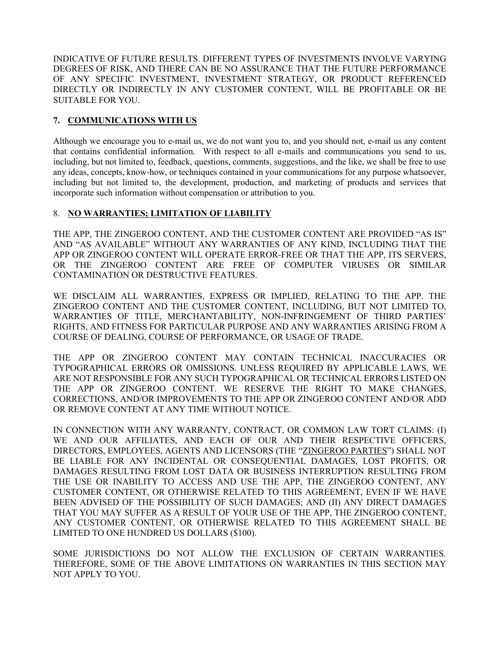INDICATIVE OF FUTURE RESULTS. DIFFERENT TYPES OF INVESTMENTS INVOLVE VARYING DEGREES OF RISK, AND THERE CAN BE NO ASSURANCE THAT THE FUTURE PERFORMANCE OF ANY SPECIFIC INVESTMENT, INVESTMENT STRATEGY, OR PRODUCT REFERENCED DIRECTLY OR INDIRECTLY IN ANY CUSTOMER CONTENT, WILL BE PROFITABLE OR BE SUITABLE FOR YOU.

### **7. COMMUNICATIONS WITH US**

Although we encourage you to e-mail us, we do not want you to, and you should not, e-mail us any content that contains confidential information. With respect to all e-mails and communications you send to us, including, but not limited to, feedback, questions, comments, suggestions, and the like, we shall be free to use any ideas, concepts, know-how, or techniques contained in your communications for any purpose whatsoever, including but not limited to, the development, production, and marketing of products and services that incorporate such information without compensation or attribution to you.

### 8. **NO WARRANTIES; LIMITATION OF LIABILITY**

THE APP, THE ZINGEROO CONTENT, AND THE CUSTOMER CONTENT ARE PROVIDED "AS IS" AND "AS AVAILABLE" WITHOUT ANY WARRANTIES OF ANY KIND, INCLUDING THAT THE APP OR ZINGEROO CONTENT WILL OPERATE ERROR-FREE OR THAT THE APP, ITS SERVERS, OR THE ZINGEROO CONTENT ARE FREE OF COMPUTER VIRUSES OR SIMILAR CONTAMINATION OR DESTRUCTIVE FEATURES.

WE DISCLAIM ALL WARRANTIES, EXPRESS OR IMPLIED, RELATING TO THE APP. THE ZINGEROO CONTENT AND THE CUSTOMER CONTENT, INCLUDING, BUT NOT LIMITED TO, WARRANTIES OF TITLE, MERCHANTABILITY, NON-INFRINGEMENT OF THIRD PARTIES' RIGHTS, AND FITNESS FOR PARTICULAR PURPOSE AND ANY WARRANTIES ARISING FROM A COURSE OF DEALING, COURSE OF PERFORMANCE, OR USAGE OF TRADE.

THE APP OR ZINGEROO CONTENT MAY CONTAIN TECHNICAL INACCURACIES OR TYPOGRAPHICAL ERRORS OR OMISSIONS. UNLESS REQUIRED BY APPLICABLE LAWS, WE ARE NOT RESPONSIBLE FOR ANY SUCH TYPOGRAPHICAL OR TECHNICAL ERRORS LISTED ON THE APP OR ZINGEROO CONTENT. WE RESERVE THE RIGHT TO MAKE CHANGES, CORRECTIONS, AND/OR IMPROVEMENTS TO THE APP OR ZINGEROO CONTENT AND/OR ADD OR REMOVE CONTENT AT ANY TIME WITHOUT NOTICE.

IN CONNECTION WITH ANY WARRANTY, CONTRACT, OR COMMON LAW TORT CLAIMS: (I) WE AND OUR AFFILIATES, AND EACH OF OUR AND THEIR RESPECTIVE OFFICERS, DIRECTORS, EMPLOYEES, AGENTS AND LICENSORS (THE "ZINGEROO PARTIES") SHALL NOT BE LIABLE FOR ANY INCIDENTAL OR CONSEQUENTIAL DAMAGES, LOST PROFITS, OR DAMAGES RESULTING FROM LOST DATA OR BUSINESS INTERRUPTION RESULTING FROM THE USE OR INABILITY TO ACCESS AND USE THE APP, THE ZINGEROO CONTENT, ANY CUSTOMER CONTENT, OR OTHERWISE RELATED TO THIS AGREEMENT, EVEN IF WE HAVE BEEN ADVISED OF THE POSSIBILITY OF SUCH DAMAGES; AND (II) ANY DIRECT DAMAGES THAT YOU MAY SUFFER AS A RESULT OF YOUR USE OF THE APP, THE ZINGEROO CONTENT, ANY CUSTOMER CONTENT, OR OTHERWISE RELATED TO THIS AGREEMENT SHALL BE LIMITED TO ONE HUNDRED US DOLLARS (\$100).

SOME JURISDICTIONS DO NOT ALLOW THE EXCLUSION OF CERTAIN WARRANTIES. THEREFORE, SOME OF THE ABOVE LIMITATIONS ON WARRANTIES IN THIS SECTION MAY NOT APPLY TO YOU.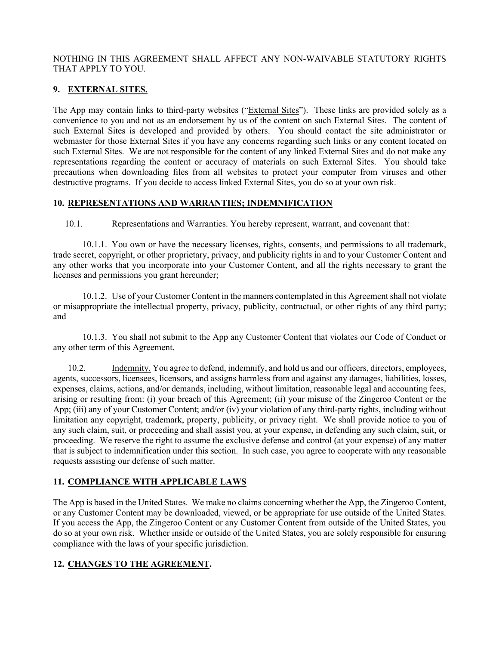#### NOTHING IN THIS AGREEMENT SHALL AFFECT ANY NON-WAIVABLE STATUTORY RIGHTS THAT APPLY TO YOU.

# **9. EXTERNAL SITES.**

The App may contain links to third-party websites ("External Sites"). These links are provided solely as a convenience to you and not as an endorsement by us of the content on such External Sites. The content of such External Sites is developed and provided by others. You should contact the site administrator or webmaster for those External Sites if you have any concerns regarding such links or any content located on such External Sites. We are not responsible for the content of any linked External Sites and do not make any representations regarding the content or accuracy of materials on such External Sites. You should take precautions when downloading files from all websites to protect your computer from viruses and other destructive programs. If you decide to access linked External Sites, you do so at your own risk.

### **10. REPRESENTATIONS AND WARRANTIES; INDEMNIFICATION**

10.1. Representations and Warranties. You hereby represent, warrant, and covenant that:

10.1.1. You own or have the necessary licenses, rights, consents, and permissions to all trademark, trade secret, copyright, or other proprietary, privacy, and publicity rights in and to your Customer Content and any other works that you incorporate into your Customer Content, and all the rights necessary to grant the licenses and permissions you grant hereunder;

10.1.2. Use of your Customer Content in the manners contemplated in this Agreement shall not violate or misappropriate the intellectual property, privacy, publicity, contractual, or other rights of any third party; and

10.1.3. You shall not submit to the App any Customer Content that violates our Code of Conduct or any other term of this Agreement.

10.2. Indemnity. You agree to defend, indemnify, and hold us and our officers, directors, employees, agents, successors, licensees, licensors, and assigns harmless from and against any damages, liabilities, losses, expenses, claims, actions, and/or demands, including, without limitation, reasonable legal and accounting fees, arising or resulting from: (i) your breach of this Agreement; (ii) your misuse of the Zingeroo Content or the App; (iii) any of your Customer Content; and/or (iv) your violation of any third-party rights, including without limitation any copyright, trademark, property, publicity, or privacy right. We shall provide notice to you of any such claim, suit, or proceeding and shall assist you, at your expense, in defending any such claim, suit, or proceeding. We reserve the right to assume the exclusive defense and control (at your expense) of any matter that is subject to indemnification under this section. In such case, you agree to cooperate with any reasonable requests assisting our defense of such matter.

## **11. COMPLIANCE WITH APPLICABLE LAWS**

The App is based in the United States. We make no claims concerning whether the App, the Zingeroo Content, or any Customer Content may be downloaded, viewed, or be appropriate for use outside of the United States. If you access the App, the Zingeroo Content or any Customer Content from outside of the United States, you do so at your own risk. Whether inside or outside of the United States, you are solely responsible for ensuring compliance with the laws of your specific jurisdiction.

## **12. CHANGES TO THE AGREEMENT.**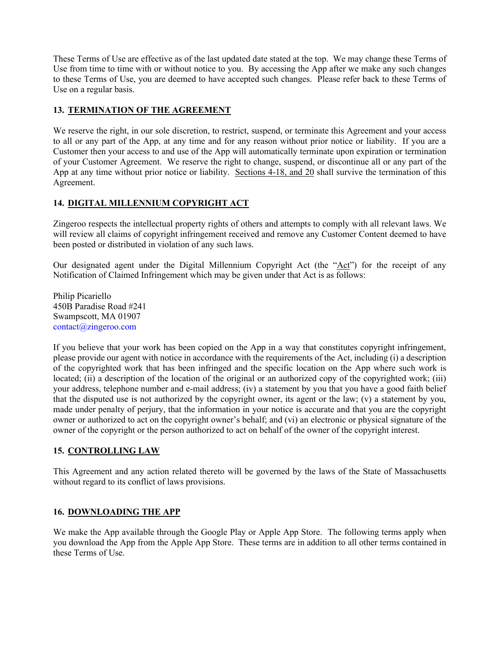These Terms of Use are effective as of the last updated date stated at the top. We may change these Terms of Use from time to time with or without notice to you. By accessing the App after we make any such changes to these Terms of Use, you are deemed to have accepted such changes. Please refer back to these Terms of Use on a regular basis.

## **13. TERMINATION OF THE AGREEMENT**

We reserve the right, in our sole discretion, to restrict, suspend, or terminate this Agreement and your access to all or any part of the App, at any time and for any reason without prior notice or liability. If you are a Customer then your access to and use of the App will automatically terminate upon expiration or termination of your Customer Agreement. We reserve the right to change, suspend, or discontinue all or any part of the App at any time without prior notice or liability. Sections 4-18, and 20 shall survive the termination of this Agreement.

# **14. DIGITAL MILLENNIUM COPYRIGHT ACT**

Zingeroo respects the intellectual property rights of others and attempts to comply with all relevant laws. We will review all claims of copyright infringement received and remove any Customer Content deemed to have been posted or distributed in violation of any such laws.

Our designated agent under the Digital Millennium Copyright Act (the "Act") for the receipt of any Notification of Claimed Infringement which may be given under that Act is as follows:

Philip Picariello 450B Paradise Road #241 Swampscott, MA 01907 contact@zingeroo.com

If you believe that your work has been copied on the App in a way that constitutes copyright infringement, please provide our agent with notice in accordance with the requirements of the Act, including (i) a description of the copyrighted work that has been infringed and the specific location on the App where such work is located; (ii) a description of the location of the original or an authorized copy of the copyrighted work; (iii) your address, telephone number and e-mail address; (iv) a statement by you that you have a good faith belief that the disputed use is not authorized by the copyright owner, its agent or the law; (v) a statement by you, made under penalty of perjury, that the information in your notice is accurate and that you are the copyright owner or authorized to act on the copyright owner's behalf; and (vi) an electronic or physical signature of the owner of the copyright or the person authorized to act on behalf of the owner of the copyright interest.

## **15. CONTROLLING LAW**

This Agreement and any action related thereto will be governed by the laws of the State of Massachusetts without regard to its conflict of laws provisions.

## **16. DOWNLOADING THE APP**

We make the App available through the Google Play or Apple App Store. The following terms apply when you download the App from the Apple App Store. These terms are in addition to all other terms contained in these Terms of Use.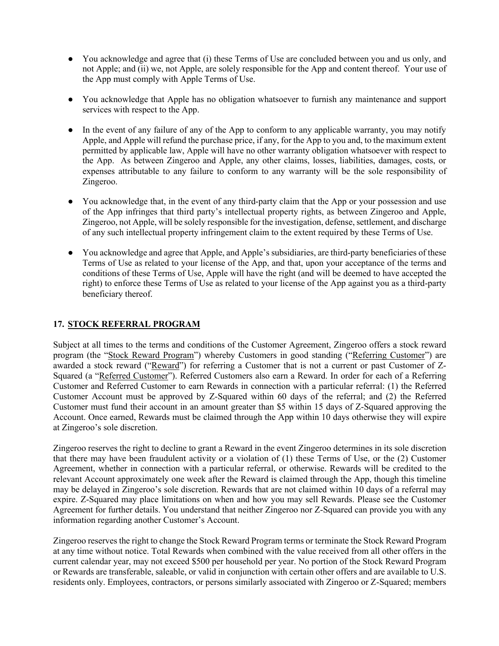- You acknowledge and agree that (i) these Terms of Use are concluded between you and us only, and not Apple; and (ii) we, not Apple, are solely responsible for the App and content thereof. Your use of the App must comply with Apple Terms of Use.
- You acknowledge that Apple has no obligation whatsoever to furnish any maintenance and support services with respect to the App.
- In the event of any failure of any of the App to conform to any applicable warranty, you may notify Apple, and Apple will refund the purchase price, if any, for the App to you and, to the maximum extent permitted by applicable law, Apple will have no other warranty obligation whatsoever with respect to the App. As between Zingeroo and Apple, any other claims, losses, liabilities, damages, costs, or expenses attributable to any failure to conform to any warranty will be the sole responsibility of Zingeroo.
- You acknowledge that, in the event of any third-party claim that the App or your possession and use of the App infringes that third party's intellectual property rights, as between Zingeroo and Apple, Zingeroo, not Apple, will be solely responsible for the investigation, defense, settlement, and discharge of any such intellectual property infringement claim to the extent required by these Terms of Use.
- You acknowledge and agree that Apple, and Apple's subsidiaries, are third-party beneficiaries of these Terms of Use as related to your license of the App, and that, upon your acceptance of the terms and conditions of these Terms of Use, Apple will have the right (and will be deemed to have accepted the right) to enforce these Terms of Use as related to your license of the App against you as a third-party beneficiary thereof.

## **17. STOCK REFERRAL PROGRAM**

Subject at all times to the terms and conditions of the Customer Agreement, Zingeroo offers a stock reward program (the "Stock Reward Program") whereby Customers in good standing ("Referring Customer") are awarded a stock reward ("Reward") for referring a Customer that is not a current or past Customer of Z-Squared (a "Referred Customer"). Referred Customers also earn a Reward. In order for each of a Referring Customer and Referred Customer to earn Rewards in connection with a particular referral: (1) the Referred Customer Account must be approved by Z-Squared within 60 days of the referral; and (2) the Referred Customer must fund their account in an amount greater than \$5 within 15 days of Z-Squared approving the Account. Once earned, Rewards must be claimed through the App within 10 days otherwise they will expire at Zingeroo's sole discretion.

Zingeroo reserves the right to decline to grant a Reward in the event Zingeroo determines in its sole discretion that there may have been fraudulent activity or a violation of (1) these Terms of Use, or the (2) Customer Agreement, whether in connection with a particular referral, or otherwise. Rewards will be credited to the relevant Account approximately one week after the Reward is claimed through the App, though this timeline may be delayed in Zingeroo's sole discretion. Rewards that are not claimed within 10 days of a referral may expire. Z-Squared may place limitations on when and how you may sell Rewards. Please see the Customer Agreement for further details. You understand that neither Zingeroo nor Z-Squared can provide you with any information regarding another Customer's Account.

Zingeroo reserves the right to change the Stock Reward Program terms or terminate the Stock Reward Program at any time without notice. Total Rewards when combined with the value received from all other offers in the current calendar year, may not exceed \$500 per household per year. No portion of the Stock Reward Program or Rewards are transferable, saleable, or valid in conjunction with certain other offers and are available to U.S. residents only. Employees, contractors, or persons similarly associated with Zingeroo or Z-Squared; members